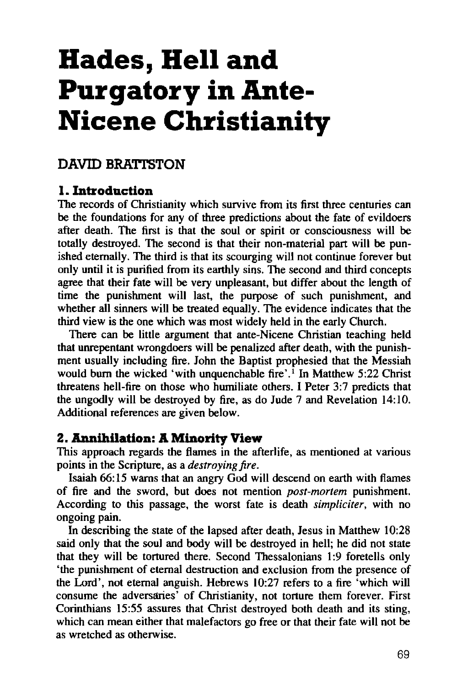# **Hades, Hell and Purgatory in Ante-Nicene Christianity**

## **DAVID BRATI'STON**

## **1. Introduction**

The records of Christianity which survive from its first three centuries can be the foundations for any of three predictions about the fate of evildoers after death. The first is that the soul or spirit or consciousness will be totally destroyed. The second is that their non-material part will be punished eternally. The third is that its scourging will not continue forever but only until it is purified from its earthly sins. The second and third concepts agree that their fate will be very unpleasant, but differ about the length of time the punishment will last, the purpose of such punishment, and whether all sinners will be treated equally. The evidence indicates that the third view is the one which was most widely held in the early Church.

There can be little argument that ante-Nicene Christian teaching held that unrepentant wrongdoers will be penalized after death, with the punishment usually including fire. John the Baptist prophesied that the Messiah would burn the wicked 'with unquenchable fire'.<sup>1</sup> In Matthew 5:22 Christ threatens hell-fire on those who humiliate others. I Peter 3:7 predicts that the ungodly will be destroyed by fire, as do Jude 7 and Revelation 14:10. Additional references are given below.

## **2. Annihilation: A Minority View**

This approach regards the flames in the afterlife, as mentioned at various points in the Scripture, as a *destroying fire.* 

Isaiah 66: 15 warns that an angry God will descend on earth with flames of fire and the sword, but does not mention *post-mortem* punishment. According to this passage, the worst fate is death *simpliciter,* with no ongoing pain.

In describing the state of the lapsed after death, Jesus in Matthew 10:28 said only that the soul and body will be destroyed in hell; he did not state that they will be tortured there. Second Thessalonians 1:9 foretells only 'the punishment of eternal destruction and exclusion from the presence of the Lord', not eternal anguish. Hebrews 10:27 refers to a fire 'which will consume the adversaries' of Christianity, not torture them forever. First Corinthians 15:55 assures that Christ destroyed both death and its sting, which can mean either that malefactors go free or that their fate will not be as wretched as otherwise.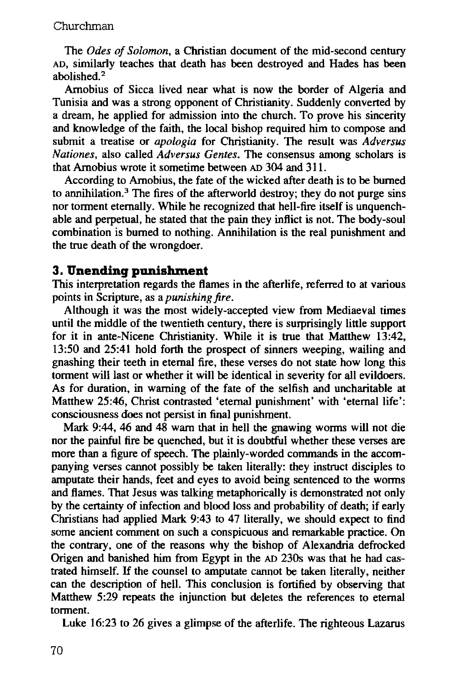The *Odes of Solomon,* a Christian document of the mid-second century AD, similarly teaches that death has been destroyed and Hades has been abolished. 2

Amobius of Sicca lived near what is now the border of Algeria and Tunisia and was a strong opponent of Christianity. Suddenly converted by a dream, he applied for admission into the church. To prove his sincerity and knowledge of the faith, the local bishop required him to compose and submit a treatise or *apologia* for Christianity. The result was *Adversus Nationes,* also called *Adversus Gentes.* The consensus among scholars is that Amobius wrote it sometime between AD 304 and 311.

According to Amobius, the fate of the wicked after death is to be burned to annihilation.<sup>3</sup> The fires of the afterworld destroy; they do not purge sins nor torment eternally. While he recognized that hell-fire itself is unquenchable and perpetual, he stated that the pain they inflict is not. The body-soul combination is burned to nothing. Annihilation is the real punishment and the true death of the wrongdoer.

## **3. Unending punishment**

This interpretation regards the flames in the afterlife, referred to at various points in Scripture, as a *punishing fire.* 

Although it was the most widely-accepted view from Mediaeval times until the middle of the twentieth century, there is surprisingly little support for it in ante-Nicene Christianity. While it is true that Matthew 13:42, 13:50 and 25:41 hold forth the prospect of sinners weeping, wailing and gnashing their teeth in eternal fire, these verses do not state how long this torment will last or whether it will be identical in severity for all evildoers. As for duration, in warning of the fate of the selfish and uncharitable at Matthew 25:46, Christ contrasted 'eternal punishment' with 'eternal life': consciousness does not persist in final punishment.

Mark 9:44, 46 and 48 warn that in hell the gnawing worms will not die nor the painful fire be quenched, but it is doubtful whether these verses are more than a figure of speech. The plainly-worded commands in the accompanying verses cannot possibly be taken literally: they instruct disciples to amputate their hands, feet and eyes to avoid being sentenced to the worms and flames. That Jesus was talking metaphorically is demonstrated not only by the certainty of infection and blood loss and probability of death; if early Christians had applied Mark 9:43 to 47 literally, we should expect to find some ancient comment on such a conspicuous and remarkable practice. On the contrary, one of the reasons why the bishop of Alexandria defrocked Origen and banished him from Egypt in the AD 230s was that he had castrated himself. If the counsel to amputate cannot be taken literally, neither can the description of hell. This conclusion is fortified by observing that Matthew 5:29 repeats the injunction but deletes the references to eternal torment.

Luke 16:23 to 26 gives a glimpse of the afterlife. The righteous Lazarus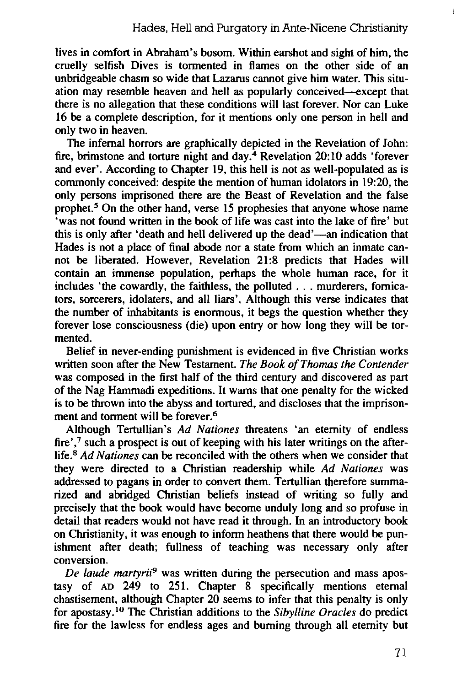lives in comfort in Abraham's bosom. Within earshot and sight of him, the cruelly selfish Dives is tormented in flames on the other side of an unbridgeable chasm so wide that Lazarus cannot give him water. This situation may resemble heaven and hell as popularly conceived-except that there is no allegation that these conditions will last forever. Nor can Luke 16 be a complete description, for it mentions only one person in hell and only two in heaven.

The infernal horrors are graphically depicted in the Revelation of John: fire, brimstone and torture night and day.4 Revelation 20:10 adds 'forever and ever'. According to Chapter 19, this hell is not as well-populated as is commonly conceived: despite the mention of human idolators in 19:20, the only persons imprisoned there are the Beast of Revelation and the false prophet.5 On the other hand, verse 15 prophesies that anyone whose name 'was not found written in the book of life was cast into the lake of fire' but this is only after 'death and hell delivered up the dead'—an indication that Hades is not a place of final abode nor a state from which an inmate cannot be liberated. However, Revelation 21:8 predicts that Hades will contain an immense population, perhaps the whole human race, for it includes 'the cowardly, the faithless, the polluted ... murderers, fornicators, sorcerers, idolaters, and all liars'. Although this verse indicates that the number of inhabitants is enormous, it begs the question whether they forever lose consciousness (die) upon entry or how long they will be tormented.

Belief in never-ending punishment is evidenced in five Christian works written soon after the New Testament. *The Book of Thomas the Contender*  was composed in the first half of the third century and discovered as part of the Nag Hammadi expeditions. It warns that one penalty for the wicked is to be thrown into the abyss and tortured, and discloses that the imprisonment and torment will be forever.<sup>6</sup>

Although Tertullian's *Ad Nationes* threatens 'an eternity of endless fire',<sup>7</sup> such a prospect is out of keeping with his later writings on the afterlife.8 *Ad Nationes* can be reconciled with the others when we consider that they were directed to a Christian readership while *Ad Nationes* was addressed to pagans in order to convert them. Tertullian therefore summarized and abridged Christian beliefs instead of writing so fully and precisely that the book would have become unduly long and so profuse in detail that readers would not have read it through. In an introductory book on Christianity, it was enough to inform heathens that there would be punishment after death; fullness of teaching was necessary only after conversion.

*De laude martyrii*9 was written during the persecution and mass apostasy of  $AD$  249 to 251. Chapter  $\overline{8}$  specifically mentions eternal chastisement, although Chapter 20 seems to infer that this penalty is only for apostasy. <sup>10</sup>The Christian additions to the *Sibylline Oracles* do predict fire for the lawless for endless ages and burning through all eternity but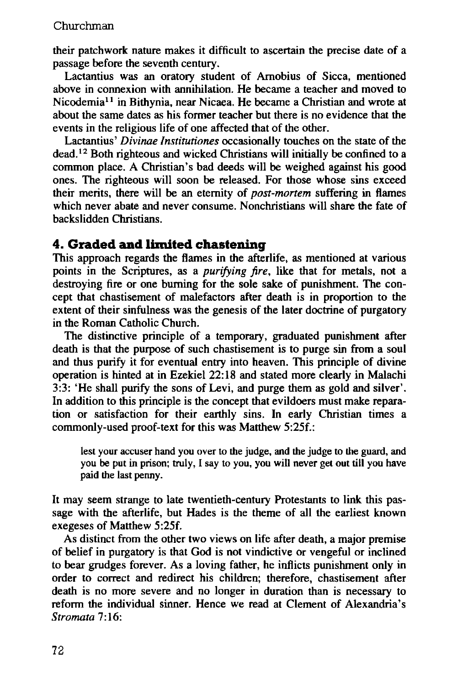their patchwork nature makes it difficult to ascertain the precise date of a passage before the seventh century.

Lactantius was an oratory student of Arnobius of Sicca, mentioned above in connexion with annihilation. He became a teacher and moved to Nicodemia11 in Bithynia, near Nicaea. He became a Christian and wrote at about the same dates as his former teacher but there is no evidence that the events in the religious life of one affected that of the other.

Lactantius' *Divinae lnstitutiones* occasionally touches on the state of the dead. 12 Both righteous and wicked Christians will initially be confined to a common place. A Christian's bad deeds will be weighed against his good ones. The righteous will soon be released. For those whose sins exceed their merits, there will be an eternity of *post-mortem* suffering in flames which never abate and never consume. Nonchristians will share the fate of backslidden Christians.

## **4. Graded and limited chastening**

This approach regards the flames in the afterlife, as mentioned at various points in the Scriptures, as a *purifying fire,* like that for metals, not a destroying fire or one burning for the sole sake of punishment. The concept that chastisement of malefactors after death is in proportion to the extent of their sinfulness was the genesis of the later doctrine of purgatory in the Roman Catholic Church.

The distinctive principle of a temporary, graduated punishment after death is that the purpose of such chastisement is to purge sin from a soul and thus purify it for eventual entry into heaven. This principle of divine operation is hinted at in Ezekiel 22:18 and stated more clearly in Malachi 3:3: 'He shall purify the sons of Levi, and purge them as gold and silver'. In addition to this principle is the concept that evildoers must make reparation or satisfaction for their earthly sins. In early Christian times a commonly-used proof-text for this was Matthew 5:25f.:

lest your accuser hand you over to the judge, and the judge to the guard, and you be put in prison; truly, I say to you, you will never get out till you have paid the last penny.

It may seem strange to late twentieth-century Protestants to link this passage with the afterlife, but Hades is the theme of all the earliest known exegeses of Matthew 5:25f.

As distinct from the other two views on life after death, a major premise of belief in purgatory is that God is not vindictive or vengeful or inclined to bear grudges forever. As a loving father, he inflicts punishment only in order to correct and redirect his children; therefore, chastisement after death is no more severe and no longer in duration than is necessary to reform the individual sinner. Hence we read at Clement of Alexandria's *Stromata* 7:16: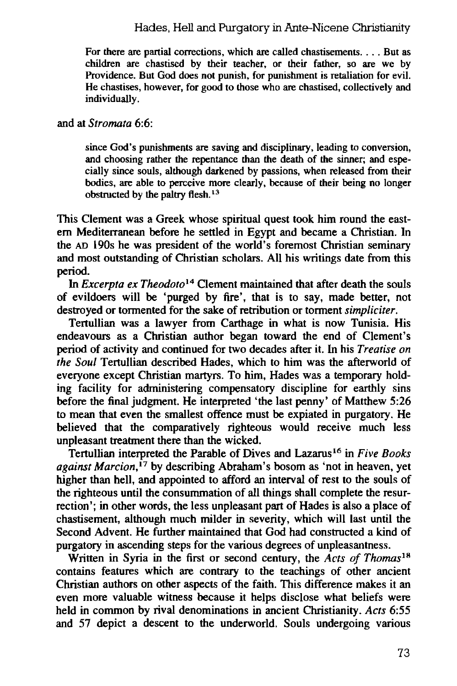#### Hades, Hell and Purgatory in Ante-Nicene Christianity

For there are partial corrections, which are called chastisements. . . . But as children are chastised by their teacher, or their father, so are we by Providence. But God does not punish, for punishment is retaliation for evil. He chastises, however, for good to those who are chastised, collectively and individually.

#### and at *Stromata* 6:6:

since God's punishments are saving and disciplinary, leading to conversion, and choosing rather the repentance than the death of the sinner; and especially since souls, although darkened by passions, when released from their bodies, are able to perceive more clearly, because of their being no longer obstructed by the paltry flesh. <sup>13</sup>

This Clement was a Greek whose spiritual quest took him round the eastem Mediterranean before he settled in Egypt and became a Christian. In the AD l90s he was president of the world's foremost Christian seminary and most outstanding of Christian scholars. All his writings date from this period.

In *Excerpta ex Theodoto*<sup>14</sup> Clement maintained that after death the souls of evildoers will be 'purged by fire', that is to say, made better, not destroyed or tormented for the sake of retribution or torment *simpliciter.* 

Tertullian was a lawyer from Carthage in what is now Tunisia. His endeavours as a Christian author began toward the end of Clement's period of activity and continued for two decades after it. In his *Treatise on the Soul* Tertullian described Hades, which to him was the afterworld of everyone except Christian martyrs. To him, Hades was a temporary holding facility for administering compensatory discipline for earthly sins before the final judgment. He interpreted 'the last penny' of Matthew 5:26 to mean that even the smallest offence must be expiated in purgatory. He believed that the comparatively righteous would receive much less unpleasant treatment there than the wicked.

Tertullian interpreted the Parable of Dives and Lazarus 16 in *Five Books against Marcion,* 17 by describing Abraham's bosom as 'not in heaven, yet higher than hell, and appointed to afford an interval of rest to the souls of the righteous until the consummation of all things shall complete the resurrection'; in other words, the less unpleasant part of Hades is also a place of chastisement, although much milder in severity, which will last until the Second Advent. He further maintained that God had constructed a kind of purgatory in ascending steps for the various degrees of unpleasantness.

Written in Syria in the first or second century, the *Acts of Thomas <sup>18</sup>* contains features which are contrary to the teachings of other ancient Christian authors on other aspects of the faith. This difference makes it an even more valuable witness because it helps disclose what beliefs were held in common by rival denominations in ancient Christianity. *Acts* 6:55 and 57 depict a descent to the underworld. Souls undergoing various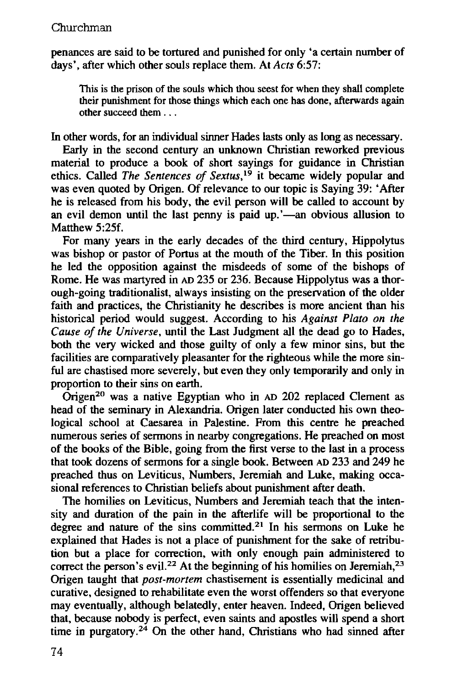penances are said to be tortured and punished for only 'a certain number of days', after which other souls replace them. At *Acts* 6:57:

This is the prison of the souls which thou seest for when they shall complete their punishment for those things which each one has done, afterwards again other succeed them ...

In other words, for an individual sinner Hades lasts only as long as necessary.

Early in the second century an unknown Christian reworked previous material to produce a book of short sayings for guidance in Christian ethics. Called *The Sentences of Sextus,* 19 it became widely popular and was even quoted by Origen. Of relevance to our topic is Saying 39: 'After he is released from his body, the evil person will be called to account by an evil demon until the last penny is paid up.'—an obvious allusion to Matthew 5:25f.

For many years in the early decades of the third century, Hippolytus was bishop or pastor of Portus at the mouth of the Tiber. In this position he led the opposition against the misdeeds of some of the bishops of Rome. He was martyred in AD 235 or 236. Because Hippolytus was a thorough-going traditionalist, always insisting on the preservation of the older faith and practices, the Christianity he describes is more ancient than his historical period would suggest. According to his *Against Plato on the Cause of the Universe,* until the Last Judgment all the dead go to Hades, both the very wicked and those guilty of only a few minor sins, but the facilities are comparatively pleasanter for the righteous while the more sinful are chastised more severely, but even they only temporarily and only in proportion to their sins on earth.

 $\overline{\text{Original}}^{20}$  was a native Egyptian who in AD 202 replaced Clement as head of the seminary in Alexandria. Origen later conducted his own theological school at Caesarea in Palestine. From this centre he preached numerous series of sermons in nearby congregations. He preached on most of the books of the Bible, going from the first verse to the last in a process that took dozens of sermons for a single book. Between AD 233 and 249 he preached thus on Leviticus, Numbers, Jeremiah and Luke, making occasional references to Christian beliefs about punishment after death.

The homilies on Leviticus, Numbers and Jeremiah teach that the intensity and duration of the pain in the afterlife will be proportional to the degree and nature of the sins committed.<sup>21</sup> In his sermons on Luke he explained that Hades is not a place of punishment for the sake of retribution but a place for correction, with only enough pain administered to correct the person's evil.<sup>22</sup> At the beginning of his homilies on Jeremiah,<sup>23</sup> Origen taught that *post-mortem* chastisement is essentially medicinal and curative, designed to rehabilitate even the worst offenders so that everyone may eventually, although belatedly, enter heaven. Indeed, Origen believed that, because nobody is perfect, even saints and apostles will spend a short time in purgatory.<sup>24</sup> On the other hand, Christians who had sinned after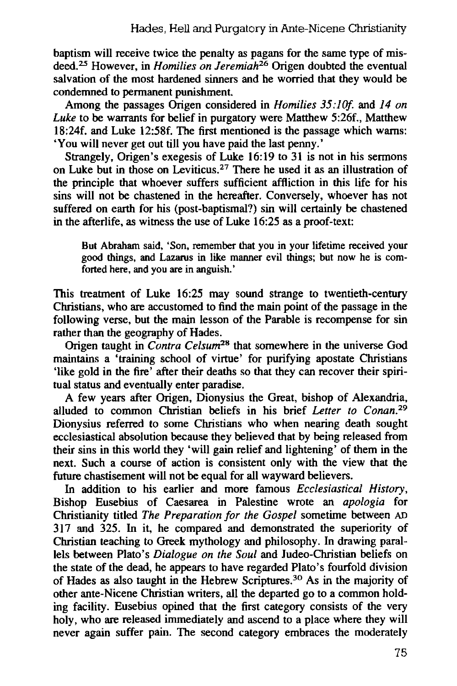baptism will receive twice the penalty as pagans for the same type of misdeed.25 However, in *Homilies on Jeremiah26* Origen doubted the eventual salvation of the most hardened sinners and he worried that they would be condemned to pennanent punishment.

Among the passages Origen considered in *Homilies 35:10f.* and 14 on *Luke* to be warrants for belief in purgatory were Matthew 5:26f., Matthew 18:24f. and Luke 12:58f. The first mentioned is the passage which warns: 'You will never get out till you have paid the last penny.'

Strangely, Origen's exegesis of Luke 16:19 to 31 is not in his sermons on Luke but in those on Leviticus. 27 There he used it as an illustration of the principle that whoever suffers sufficient affliction in this life for his sins will not be chastened in the hereafter. Conversely, whoever has not suffered on earth for his (post-baptismal?) sin will certainly be chastened in the afterlife, as witness the use of Luke 16:25 as a proof-text:

But Abraham said, 'Son, remember that you in your lifetime received your good things, and Lazarus in like manner evil things; but now he is comforted here, and you are in anguish.'

This treatment of Luke 16:25 may sound strange to twentieth-century Christians, who are accustomed to find the main point of the passage in the following verse, but the main lesson of the Parable is recompense for sin rather than the geography of Hades.

Origen taught in *Contra Celsum28* that somewhere in the universe God maintains a 'training school of virtue' for purifying apostate Christians 'like gold in the fire' after their deaths so that they can recover their spiritual status and eventually enter paradise.

A few years after Origen, Dionysius the Great, bishop of Alexandria, alluded to common Christian beliefs in his brief *Letter to Conan.<sup>29</sup>* Dionysius referred to some Christians who when nearing death sought ecclesiastical absolution because they believed that by being released from their sins in this world they 'will gain relief and lightening' of them in the next. Such a course of action is consistent only with the view that the future chastisement will not be equal for all wayward believers.

In addition to his earlier and more famous *Ecclesiastical History,*  Bishop Eusebius of Caesarea in Palestine wrote an *apologia* for Christianity titled *The Preparation for the Gospel* sometime between AD 317 and 325. In it, he compared and demonstrated the superiority of Christian teaching to Greek mythology and philosophy. In drawing parallels between Plato's *Dialogue on the Soul* and Judeo-Christian beliefs on the state of the dead, he appears to have regarded Plato's fourfold division of Hades as also taught in the Hebrew Scriptures.30 As in the majority of other ante-Nicene Christian writers, all the departed go to a common holding facility. Eusebius opined that the first category consists of the very holy, who are released immediately and ascend to a place where they will never again suffer pain. The second category embraces the moderately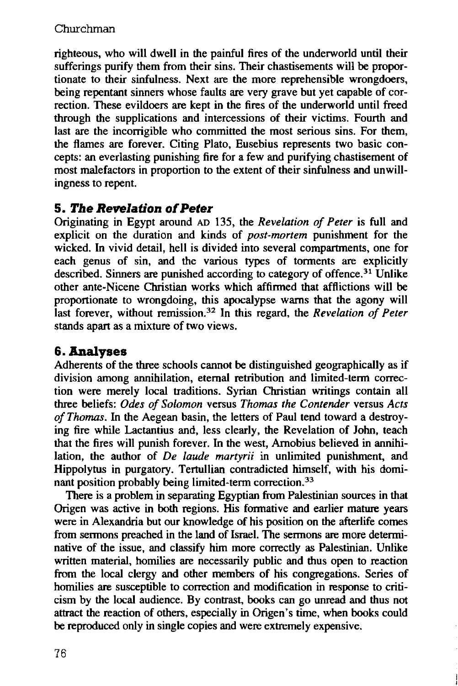righteous, who will dwell in the painful fires of the underworld until their sufferings purify them from their sins. Their chastisements will be proportionate to their sinfulness. Next are the more reprehensible wrongdoers, being repentant sinners whose faults are very grave but yet capable of correction. These evildoers are kept in the fires of the underworld until freed through the supplications and intercessions of their victims. Fourth and last are the incorrigible who committed the most serious sins. For them, the flames are forever. Citing Plato, Eusebius represents two basic concepts: an everlasting punishing fire for a few and purifying chastisement of most malefactors in proportion to the extent of their sinfulness and unwillingness to repent.

## **5. The Revelation of Peter**

Originating in Egypt around AD 135, the *Revelation of Peter* is full and explicit on the duration and kinds of *post-mortem* punishment for the wicked. In vivid detail, hell is divided into several compartments, one for each genus of sin, and the various types of torments are explicitly described. Sinners are punished according to category of offence.<sup>31</sup> Unlike other ante-Nicene Christian works which affirmed that afflictions will be proportionate to wrongdoing, this apocalypse warns that the agony will last forever, without remission.32 In this regard, the *Revelation of Peter*  stands apart as a mixture of two views.

## **&.Analyses**

Adherents of the three schools cannot be distinguished geographically as if division among annihilation, eternal retribution and limited-term correction were merely local traditions. Syrian Christian writings contain all three beliefs: *Odes of Solomon* versus *Thomas the Contender* versus *Acts of Thomas.* In the Aegean basin, the letters of Paul tend toward a destroying fire while Lactantius and, less clearly, the Revelation of John, teach that the fires will punish forever. In the west, Amobius believed in annihilation, the author of *De laude martyrii* in unlimited punishment, and Hippolytus in purgatory. Tertullian contradicted himself, with his dominant position probably being limited-term correction.<sup>33</sup>

There is a problem in separating Egyptian from Palestinian sources in that Origen was active in both regions. His formative and earlier mature years were in Alexandria but our knowledge of his position on the afterlife comes from sermons preached in the land of Israel. The sermons are more determinative of the issue, and classify him more correctly as Palestinian. Unlike written material, homilies are necessarily public and thus open to reaction from the local clergy and other members of his congregations. Series of homilies are susceptible to correction and modification in response to criticism by the local audience. By contrast, books can go unread and thus not attract the reaction of others, especially in Origen's time, when books could be reproduced only in single copies and were extremely expensive.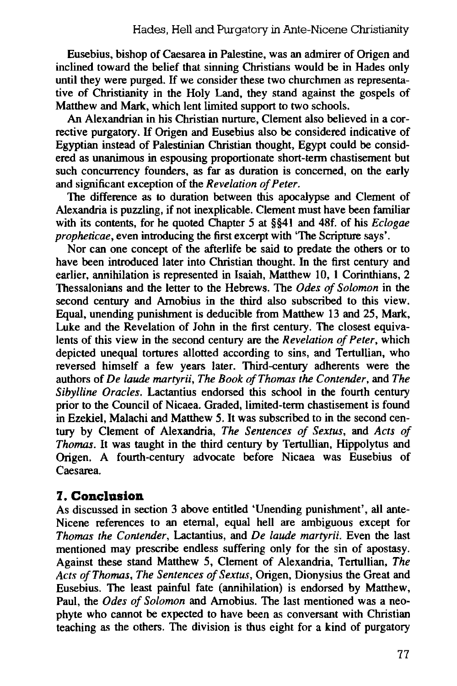Eusebius, bishop of Caesarea in Palestine, was an admirer of Origen and inclined toward the belief that sinning Christians would be in Hades only until they were purged. If we consider these two churchmen as representative of Christianity in the Holy Land, they stand against the gospels of Matthew and Mark, which lent limited support to two schools.

An Alexandrian in his Christian nurture, Clement also believed in a corrective purgatory. If Origen and Eusebius also be considered indicative of Egyptian instead of Palestinian Christian thought, Egypt could be considered as unanimous in espousing proportionate short-term chastisement but such concurrency founders, as far as duration is concerned, on the early and significant exception of the *Revelation of Peter.* 

The difference as to duration between this apocalypse and Clement of Alexandria is puzzling, if not inexplicable. Clement must have been familiar with its contents, for he quoted Chapter *5* at §§41 and 48f. of his *Eclogae propheticae*, even introducing the first excerpt with 'The Scripture says'.

Nor can one concept of the afterlife be said to predate the others or to have been introduced later into Christian thought. In the first century and earlier, annihilation is represented in Isaiah, Matthew 10, 1 Corinthians, 2 Thessalonians and the letter to the Hebrews. The *Odes of Solomon* in the second century and Amobius in the third also subscribed to this view. Equal, unending punishment is deducible from Matthew 13 and 25, Mark, Luke and the Revelation of John in the first century. The closest equivalents of this view in the second century are the *Revelation of Peter,* which depicted unequal tortures allotted according to sins, and Tertullian, who reversed himself a few years later. Third-century adherents were the authors of *De laude martyrii, The Book ofThomas the Contender,* and *The Sibylline Oracles.* Lactantius endorsed this school in the fourth century prior to the Council of Nicaea. Graded, limited-term chastisement is found in Ezekiel, Malachi and Matthew 5. It was subscribed to in the second century by Clement of Alexandria, *The Sentences of Sextus,* and *Acts of Thomas.* It was taught in the third century by Tertullian, Hippolytus and Origen. A fourth-century advocate before Nicaea was Eusebius of Caesarea.

## **7. Conclusion**

As discussed in section 3 above entitled 'Unending punishment', all ante-Nicene references to an eternal, equal hell are ambiguous except for *Thomas the Contender,* Lactantius, and *De laude martyrii.* Even the last mentioned may prescribe endless suffering only for the sin of apostasy. Against these stand Matthew 5, Clement of Alexandria, Tertullian, *The Acts of Thomas, The Sentences of Sextus,* Origen, Dionysius the Great and Eusebius. The least painful fate (annihilation) is endorsed by Matthew, Paul, the *Odes of Solomon* and Amobius. The last mentioned was a neophyte who cannot be expected to have been as conversant with Christian teaching as the others. The division is thus eight for a kind of purgatory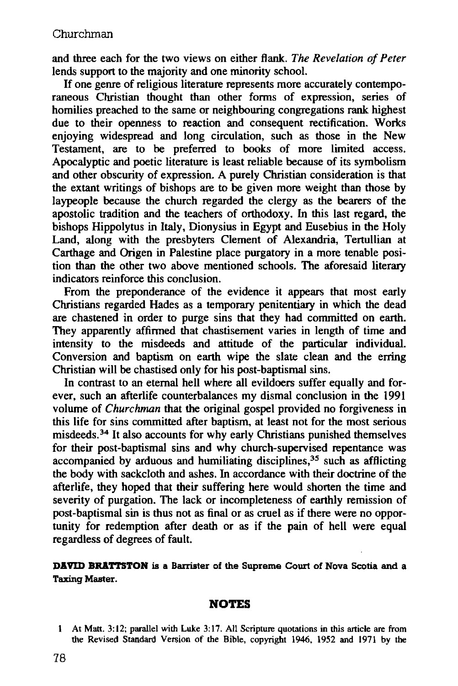and three each for the two views on either flank. *The Revelation of Peter*  lends support to the majority and one minority school.

If one genre of religious literature represents more accurately contemporaneous Christian thought than other forms of expression, series of homilies preached to the same or neighbouring congregations rank highest due to their openness to reaction and consequent rectification. Works enjoying widespread and long circulation, such as those in the New Testament, are to be preferred to books of more limited access. Apocalyptic and poetic literature is least reliable because of its symbolism and other obscurity of expression. A purely Christian consideration is that the extant writings of bishops are to be given more weight than those by laypeople because the church regarded the clergy as the bearers of the apostolic tradition and the teachers of orthodoxy. In this last regard, the bishops Hippolytus in Italy, Dionysius in Egypt and Eusebius in the Holy Land, along with the presbyters Clement of Alexandria, Tertullian at Carthage and Origen in Palestine place purgatory in a more tenable position than the other two above mentioned schools. The aforesaid literary indicators reinforce this conclusion.

From the preponderance of the evidence it appears that most early Christians regarded Hades as a temporary penitentiary in which the dead are chastened in order to purge sins that they had committed on earth. They apparently affirmed that chastisement varies in length of time and intensity to the misdeeds and attitude of the particular individual. Conversion and baptism on earth wipe the slate clean and the erring Christian will be chastised only for his post-baptismal sins.

In contrast to an eternal hell where all evildoers suffer equally and forever, such an afterlife counterbalances my dismal conclusion in the 1991 volume of *Churchman* that the original gospel provided no forgiveness in this life for sins committed after baptism, at least not for the most serious misdeeds.34 It also accounts for why early Christians punished themselves for their post-baptismal sins and why church-supervised repentance was accompanied by arduous and humiliating disciplines,  $35$  such as afflicting the body with sackcloth and ashes. In accordance with their doctrine of the afterlife, they hoped that their suffering here would shorten the time and severity of purgation. The lack or incompleteness of earthly remission of post-baptismal sin is thus not as final or as cruel as if there were no opportunity for redemption after death or as if the pain of hell were equal regardless of degrees of fault.

#### **DAVID BRATTSTON** is a Barrister of the Supreme Court of Nova Scotia and a Taxing Master.

#### **NOTES**

At Matt. 3:12; parallel with Luke 3:17. All Scripture quotations in this article are from the Revised Standard Version of the Bible, copyright 1946. 1952 and 1971 by the